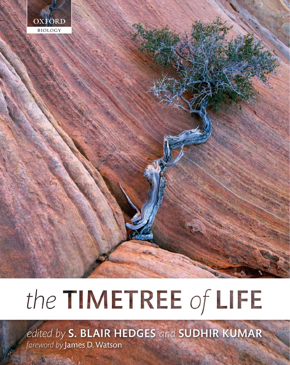

# the TIMETREE of LIFE

edited by S. BLAIR HEDGES and SUDHIR KUMAR foreword by James D. Watson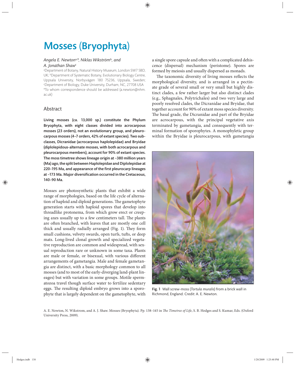# Mosses (Bryophyta)

## *Angela E. Newton*a,*\*, Niklas Wikström*<sup>b</sup>*, and A. Jonathan Shaw*<sup>c</sup>

a Department of Botany, Natural History Museum, London SW7 5BD, UK; **bDepartment of Systematic Botany, Evolutionary Biology Centre,** Uppsala University, Norbyvägen 180 75236, Uppsala, Sweden; c Department of Biology, Duke University, Durham, NC, 27708 USA \*To whom correspondence should be addressed (a.newton@nhm. ac.uk)

# Abstract

Living mosses (ca. 13,000 sp.) constitute the Phylum Bryophyta, with eight classes divided into acrocarpous mosses (23 orders), not an evolutionary group, and pleurocarpous mosses (4–7 orders, 42% of extant species). Two subclasses, Dicranidae (acrocarpous haplolepidae) and Bryidae (diplolepidous- alternate mosses, with both acrocarpous and pleurocarpous members), account for 90% of extant species. The moss timetree shows lineage origin at ~380 million years (Ma) ago, the split between Haplolepidae and Diplolepidae at 220-195 Ma, and appearance of the first pleurocarp lineages at ~173 Ma. Major diversification occurred in the Cretaceous, 140–90 Ma.

Mosses are photosynthetic plants that exhibit a wide range of morphologies, based on the life cycle of alternation of haploid and diploid generations. The gametophyte generation starts with haploid spores that develop into threadlike protonema, from which grow erect or creeping axes usually up to a few centimeters tall. The plants are often branched, with leaves that are mostly one cell thick and usually radially arranged (Fig. 1). They form small cushions, velvety swards, open turfs, tufts, or deep mats. Long-lived clonal growth and specialized vegetative reproduction are common and widespread, with sexual reproduction rare or unknown in some taxa. Plants are male or female, or bisexual, with various different arrangements of gametangia. Male and female gametangia are distinct, with a basic morphology common to all mosses (and to most of the early-diverging land-plant lineages) but with variation in some groups. Motile spermatozoa travel though surface water to fertilize sedentary eggs. The resulting diploid embryo grows into a sporophyte that is largely dependent on the gametophyte, with

a single spore capsule and often with a complicated dehiscence (dispersal) mechanism (peristome). Spores are formed by meiosis and usually dispersed as monads.

The taxonomic diversity of living mosses reflects the morphological diversity, and is arranged in a pectinate grade of several small or very small but highly distinct clades, a few rather larger but also distinct clades (e.g., Sphagnales, Polytrichales) and two very large and poorly resolved clades, the Dicranidae and Bryidae, that together account for 90% of extant moss species diversity. The basal grade, the Dicranidae and part of the Bryidae are acrocarpous, with the principal vegetative axis terminated by gametangia, and consequently with terminal formation of sporophytes. A monophyletic group within the Bryidae is pleurocarpous, with gametangia



Fig. 1 Wall screw-moss (*Tortula muralis*) from a brick wall in Richmond, England. Credit: A. E. Newton.

A. E. Newton, N. Wikstrom, and A. J. Shaw. Mosses (Bryophyta). Pp. 138-145 in *The Timetree of Life*, S. B. Hedges and S. Kumar, Eds. (Oxford University Press, 2009).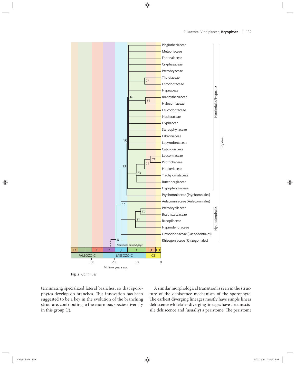

Fig. 2 *Continues*

terminating specialized lateral branches, so that sporophytes develop on branches. This innovation has been suggested to be a key in the evolution of the branching structure, contributing to the enormous species diversity in this group (*1*).

A similar morphological transition is seen in the structure of the dehiscence mechanism of the sporophyte. The earliest diverging lineages mostly have simple linear dehiscence while later diverging lineages have circumscissile dehiscence and (usually) a peristome. The peristome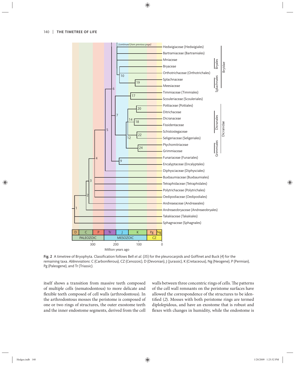

Fig. 2 A timetree of Bryophyta. Classification follows Bell *et al.* (35) for the pleurocarpids and Goffinet and Buck (4) for the remaining taxa. *Abbreviations*: C (Carboniferous), CZ (Cenozoic), D (Devonian), J (Jurassic), K (Cretaceous), Ng (Neogene), P (Permian), Pg (Paleogene), and Tr (Triassic).

itself shows a transition from massive teeth composed of multiple cells (nematodontous) to more delicate and flexible teeth composed of cell walls (arthrodontous). In the arthrodontous mosses the peristome is composed of one or two rings of structures, the outer exostome teeth and the inner endostome segments, derived from the cell walls between three concentric rings of cells. The patterns of the cell wall remnants on the peristome surfaces have allowed the correspondence of the structures to be identified (2). Mosses with both peristome rings are termed diplolepidous, and have an exostome that is robust and flexes with changes in humidity, while the endostome is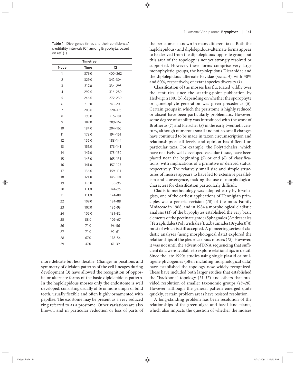| <b>Timetree</b> |       |            |
|-----------------|-------|------------|
| Node            | Time  | CI         |
| 1               | 379.0 | 400-362    |
| $\overline{2}$  | 329.0 | 342-304    |
| 3               | 317.0 | 334-295    |
| $\overline{4}$  | 292.0 | 316-280    |
| 5               | 246.0 | 272-230    |
| 6               | 219.0 | 243-205    |
| 7               | 203.0 | 220-176    |
| 8               | 195.0 | 216-181    |
| 9               | 187.0 | 209-162    |
| 10              | 184.0 | 204-165    |
| 11              | 173.0 | 194-161    |
| 12              | 156.0 | 188-144    |
| 13              | 151.0 | 173-141    |
| 14              | 149.0 | 175-130    |
| 15              | 143.0 | 165-131    |
| 16              | 141.0 | 157-123    |
| 17              | 136.0 | 159-111    |
| 18              | 121.0 | 145-101    |
| 19              | 116.0 | 138-95     |
| 20              | 111.0 | 141-96     |
| 21              | 111.0 | $124 - 88$ |
| 22              | 109.0 | $134 - 88$ |
| 23              | 107.0 | 136-93     |
| 24              | 105.0 | $131 - 82$ |
| 25              | 88.0  | $102 - 67$ |
| 26              | 71.0  | $96 - 56$  |
| 27              | 71.0  | $92 - 61$  |
| 28              | 67.0  | 118-54     |
| 29              | 47.0  | $61 - 39$  |

Table 1. Divergence times and their confidence/ credibility intervals (CI) among Bryophyta, based on ref. (*1*).

more delicate but less flexible. Changes in positions and symmetry of division patterns of the cell lineages during development (*3*) have allowed the recognition of opposite or alternate forms of the basic diplolepidous pattern. In the haplolepidous mosses only the endostome is well developed, consisting usually of 16 or more simple or bifid teeth, usually flexible and often highly ornamented with papillae. The exostome may be present as a very reduced ring referred to as a prostome. Other variations are also known, and in particular reduction or loss of parts of the peristome is known in many different taxa. Both the haplolepidous- and diplolepidous-alternate forms appear to be derived from the diplolepidous-opposite group, but this area of the topology is not yet strongly resolved or supported. However, these forms comprise very large monophyletic groups, the haplolepidous Dicranidae and the diplolepidous-alternate Bryidae (*sensu 4*), with 30% and 60%, respectively, of extant species diversity (*1*).

Classification of the mosses has fluctuated wildly over the centuries since the starting-point publication by Hedwig in 1801 (*5*), depending on whether the sporophyte or gametophyte generation was given precedence (*6*). Certain groups in which the peristome is highly reduced or absent have been particularly problematic. However, some degree of stability was introduced with the work of Brotherus (*7*) and Fleischer (*8*) in the early twentieth century, although numerous small and not-so-small changes have continued to be made in taxon circumscription and relationships at all levels, and opinion has differed on particular taxa. For example, the Polytrichales, which have relatively well-developed vascular tissue, have been placed near the beginning (9) or end (8) of classifications, with implications of a primitive or derived status, respectively. The relatively small size and simple structures of mosses appears to have led to extensive parallelism and convergence, making the use of morphological characters for classification particularly difficult.

Cladistic methodology was adopted early by bryologists, one of the earliest applications of Hennigian principles was a generic revision (*10*) of the moss Family Mniaceae in 1968, and in 1984 a morphological cladistic analysis (*11*) of the bryophytes established the very basic elements of the pectinate grade (Sphagnales (Andreaeales (Tetraphidales (Polytrichales (Buxbaumiales (Bryales)))))) most of which is still accepted. A pioneering series of cladistic analyses (using morphological data) explored the relationships of the pleurocarpous mosses (*12*). However, it was not until the advent of DNA sequencing that sufficient data were available to explore relationships in detail. Since the late 1990s studies using single plastid or multigene phylogenies (often including morphological data) have established the topology now widely recognized. These have included both larger studies that established the "backbone" topology (*13–17*) and others that provided resolution of smaller taxonomic groups (*18–20*). However, although the general pattern emerged quite quickly, certain problem areas have resisted resolution.

A long-standing problem has been resolution of the relationships of the green algae and basal land plants, which also impacts the question of whether the mosses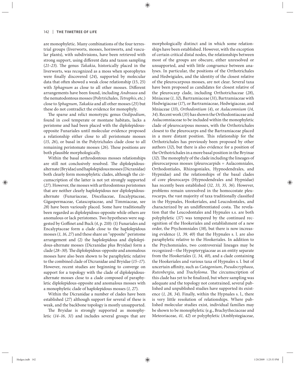are monophyletic. Many combinations of the four terrestrial groups (liverworts, mosses, hornworts, and vascular plants), with subdivisions, have been retrieved with strong support, using different data and taxon sampling (21–23). The genus *Takakia*, historically placed in the liverworts, was recognized as a moss when sporophytes were finally discovered (24), supported by molecular data that often showed a weak close relationship  $(15, 25)$ with *Sphagnum* as close to all other mosses. Different arrangements have been found, including *Andreaea* and the nematodontous mosses (Polytrichales, *Tetraphis*, etc.) close to *Sphagnum*, *Takakia* and all other mosses (*25*) but these do not contradict the evidence for monophyly.

The sparse and relict monotypic genus *Oedipodium*, found in cool temperate or montane habitats, lacks a peristome and had been placed with the diplolepidousopposite Funariales until molecular evidence proposed a relationship either close to all peristomate mosses (*15, 26*), or basal in the Polytrichales clade close to all remaining peristomate mosses (26). These positions are both plausible morphologically.

Within the basal arthrodontous mosses relationships are still not conclusively resolved. The diplolepidous alternate (Bryidae) and haplolepidous mosses (Dicranidae) both clearly form monophyletic clades, although the circumscription of the latter is not yet strongly supported (*27*). However, the mosses with arthrodontous peristomes that are neither clearly haplolepidous nor diplolepidousalternate (Funariaceae, Disceliaceae, Encalyptaceae, Gigaspermaceae, Catascopiaceae, and Timmiaceae, see *28*) have been variously placed. Some have traditionally been regarded as diplolepidous-opposite while others are anomalous or lack peristomes. Two hypotheses were suggested by Goffinet and Buck (4, p. 210): (1) Funariales and Encalyptaceae form a clade close to the haplolepidous mosses (*1, 16, 27*) and these share an "opposite" peristome arrangement and (2) the haplolepidous and diplolepidous-alternate mosses (Dicranidae plus Bryidae) form a clade (28-30). The diplolepidous-opposite and anomalous mosses have also been shown to be paraphyletic relative to the combined clade of Dicranidae and Bryidae (*15–17*). However, recent studies are beginning to converge on support for a topology with the clade of diplolepidousalternate mosses close to a clade composed of paraphyletic diplolepidous-opposite and anomalous mosses with a monophyletic clade of haplolepidous mosses (*1, 27*).

Within the Dicranidae a number of clades have been established (*27*) although support for several of these is weak, and the backbone topology is mostly unsupported.

The Bryidae is strongly supported as monophyletic (*14–16, 31*) and includes several groups that are morphologically distinct and in which some relationships have been established. However, with the exception of certain critical distal nodes, the relationships between most of the groups are obscure, either unresolved or unsupported, and with little congruence between analyses. In particular, the positions of the Orthotrichales and Hedwigiales, and the identity of the closest relative of the pleurocarpous mosses, are not clear. Several taxa have been proposed as candidates for closest relative of the pleurocarp clade, including Orthotrichaceae (28), Mniaceae (*1, 32*), Bartramiaceae (*31*), Bartramiaceae with Hedwigiaceae (*17*), or Bartramiaceae, Hedwigiaceae, and Mniaceae (*33*), *Orthodontium* (*4*), or *Aulacomnium* (*14, 34*). Recent work (*35*) has shown the Orthodontiaceae and Aulacomniaceae to be included within the monophyletic clade of pleurocarpous mosses, with the Orthotrichales closest to the pleurocarps and the Bartramiaceae placed in a more distant position. This relationship for the Orthotrichales has previously been proposed by other authors (*32*), but there is also evidence for a position of the Orthotrichales in a more basal position in the Bryinae (32). The monophyly of the clade including the lineages of pleurocarpous mosses (pleurocarpids = Aulacomniales, Orthodontiales, Rhizogoniales, Hypnodendrales, and Hypnidae) and the relationships of the basal clades of core pleurocarps (Hypnodendrales and Hypnidae) has recently been established (*32, 33, 35, 36*). However, problems remain unresolved in the homocostate pleurocarps, the vast majority of taxa traditionally classified in the Hypnales, Hookeriales, and Leucodontales, and characterized by an undifferentiated costa. The revelation that the Leucodontales and Hypnales s.s. are both polyphyletic (*37*) was tempered by the continued recognition of the Hookeriales and establishment of a new order, the Ptychomniales (*38*), but there is now increasing evidence (*1, 39, 40*) that the Hypnales s. l. are also paraphyletic relative to the Hookeriales. In addition to the Ptychomniales, two controversial lineages may be recognized—the Hypopterygiaceae as an entity separate from the Hookeriales (*1, 34, 40*), and a clade containing the Hookeriales and various taxa of Hypnales s. l. but of uncertain a1 nity, such as *Catagonium*, *Pseudocryphaea*, *Rutenbergia*, and *Trachyloma*. The circumscription of this clade has yet to be finalized, but where sampling was adequate and the topology not constrained, several published and unpublished studies have supported its existence (*1, 28, 34*). Finally, within the Hypnales s. l., there is very little resolution of relationships. Where published molecular studies exist, individual families may be shown to be monophyletic (e.g., Brachytheciaceae and Meteoriaceae, *41, 42*) or polyphyletic (Amblystegiaceae,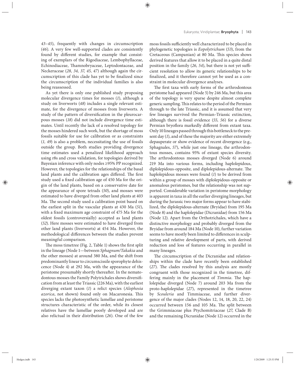43-45), frequently with changes in circumscription (46). A very few well-supported clades are consistently found by different studies, for example that consisting of exemplars of the Rigodiaceae, Lembophyllaceae, Echinodiaceae, Thamnobryaceae, Leptodontaceae, and Neckeraceae (*28, 34, 37, 45, 47*) although again the circumscription of this clade has yet to be finalized since the circumscription of the individual families is also being reassessed.

As yet there is only one published study proposing molecular divergence times for mosses (1), although a study on liverworts (*48*) includes a single relevant estimate, for the divergence of mosses from liverworts. A study of the pattern of diversification in the pleurocarpous mosses (*18*) did not include divergence time estimates. Until recently the lack of a resolved topology for the mosses hindered such work, but the shortage of moss fossils suitable for use for calibration or as constraints (*1, 49*) is also a problem, necessitating the use of fossils outside the group. Both studies providing divergence time estimates used a penalized likelihood approach using r8s and cross validation, for topologies derived by Bayesian inference with only nodes ≥95% PP recognized. However, the topologies for the relationships of the basal land plants and the calibration ages differed. The first study used a fixed calibration age of 450 Ma for the origin of the land plants, based on a conservative date for the appearance of spore tetrads (*50*), and mosses were estimated to have diverged from other land plants at 403 Ma. The second study used a calibration point based on the earliest split in the vascular plants at 430 Ma (*51*), with a fixed maximum age constraint of 475 Ma for the oldest fossils (controversially) accepted as land plants (*52*). Here mosses were estimated to have diverged from other land plants (liverworts) at 454 Ma. However, the methodological differences between the studies prevent meaningful comparison.

The moss timetree (Fig. 2, Table 1) shows the first split in the lineage (Node 1—between *Sphagnum*/*Takakia* and the other mosses) at around 380 Ma, and the shift from predominantly linear to circumscissile sporophyte dehiscence (Node 4) at 292 Ma, with the appearance of the peristome presumably shortly thereafter. In the nematodontous mosses the Family Polytrichales shows diversification from at least the Triassic (226 Ma), with the earliest diverging extant taxon (*1*) a relict species (*Alophosia azorica*, not shown) found only on Macaronesia. This species lacks the photosynthetic lamellae and peristome structures characteristic of the order, while its closest relatives have the lamellae poorly developed and are also relictual in their distribution (26). One of the few

moss fossils sufficiently well characterized to be placed in phylogenetic topologies is *Eopolytrichum* (*53*), from the Cretaceous (Campanian) at 80 Ma. This species shows derived features that allow it to be placed in a quite distal position in the family (26, 54), but there is not yet sufficient resolution to allow its generic relationships to be finalized, and it therefore cannot yet be used as a constraint in molecular divergence analyses.

The first taxa with early forms of the arthrodontous peristome had appeared (Node 5) by 246 Ma, but this area of the topology is very sparse despite almost complete generic sampling. This relates to the period of the Permian through to the late Triassic, and it is assumed that very few lineages survived the Permian–Triassic extinction, although there is fossil evidence (55, 56) for a diverse Permian bryoflora markedly different from extant taxa. Only 10 lineages passed through this bottleneck to the present day (*1*), and of these the majority are either extremely depauperate or show evidence of recent divergence (e.g., Sphagnales, 57), while just one lineage, the arthrodontous mosses, contains 95% of extant species diversity. The arthrodontous mosses diverged (Node 6) around 219 Ma into various forms, including haplolepidous, diplolepidous-opposite, and diplolepidous-alternate. The haplolepidous mosses were found (*1*) to be derived from within a group of mosses with diplolepidous-opposite or anomalous peristomes, but the relationship was not supported. Considerable variation in peristome morphology is apparent in taxa in all the earlier diverging lineages, but during the Jurassic two major forms appear to have stabilized, the diplolepidous- alternate (Bryidae) from 195 Ma (Node 8) and the haplolepidae (Dicranidae) from 156 Ma (Node 12). Apart from the Orthotrichales, which have a distinctive morphology and probably diverged from the Bryidae from around 184 Ma (Node 10), further variation seems to have mostly been limited to differences in sculpturing and relative development of parts, with derived reduction and loss of features occurring in parallel in many lineages.

The circumscription of the Dicranidae and relationships within the clade have recently been established (27). The clades resolved by this analysis are mostly congruent with those recognized in the timetree, differing mainly in the placement of *Timmia*. The haplolepidae diverged (Node 7) around 203 Ma from the proto- haplolepidae (*27*), represented in the timetree by *Scouleria* and Timmiaceae, and further divergence of the major clades (Nodes 12, 14, 18, 20, 22, 24) occurred between 156 and 105 Ma. The split between the Grimmiaceae plus Ptychomitriaceae (*27*, Clade B) and the remaining Dicranidae (Node 12) occurred in the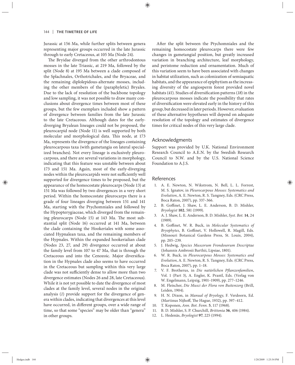Jurassic at 156 Ma, while further splits between genera representing major groups occurred in the late Jurassic through to early Cretaceous, at 105 Ma (Node 24).

The Bryidae diverged from the other arthrodontous mosses in the late Triassic, at 219 Ma, followed by the split (Node 8) at 195 Ma between a clade composed of the Splachnales, Orthotrichales, and the Bryaceae, and the remaining diplolepidous-alternate mosses, including the other members of the (paraphyletic) Bryales. Due to the lack of resolution of the backbone topology and low sampling, it was not possible to draw many conclusions about divergence times between most of these groups, but the few exemplars included show a pattern of divergence between families from the late Jurassic to the late Cretaceous. Although dates for the earlydiverging Bryalean lineages could not be proposed, the pleurocarpid node (Node 11) is well supported by both molecular and morphological data. This node, at 173 Ma, represents the divergence of the lineages containing pleurocarpous taxa (with gametangia on lateral specialized branches). Not every lineage is exclusively pleurocarpous, and there are several variations in morphology, indicating that this feature was unstable between about 173 and 151 Ma. Again, most of the early-diverging nodes within the pleurocarpids were not sufficiently well supported for divergence times to be proposed, but the appearance of the homocostate pleurocarps (Node 13) at 151 Ma was followed by two divergences in a very short period. Within the homocostate pleurocarps there is a grade of four lineages diverging between 151 and 141 Ma, starting with the Ptychomniales and followed by the Hypopterygiaceae, which diverged from the remaining pleurocarps (Node 15) at 143 Ma. The most substantial split (Node 16) occurred at 141 Ma, between the clade containing the Hookeriales with some associated Hypnalean taxa, and the remaining members of the Hypnales. Within the expanded hookerialian clade (Nodes 23, 27, and 29) divergence occurred at about the family level from 107 to 47 Ma, that is through the Cretaceous and into the Cenozoic. Major diversification in the Hypnales clade also seems to have occurred in the Cretaceous but sampling within this very large clade was not sufficiently dense to allow more than two divergence estimates (Nodes 26 and 28, late Cretaceous). While it is not yet possible to date the divergence of most clades at the family level, several nodes in the original analysis (*1*) provide support for the divergence of genera within clades, indicating that divergences at this level have occurred, in different groups, over a wide range of time, so that some "species" may be older than "genera" in other groups.

After the split between the Ptychomniales and the remaining homocostate pleurocarps there were few changes in gametangial position, but greatly increased variation in branching architecture, leaf morphology, and peristome reduction and ornamentation. Much of this variation seem to have been associated with changes in habitat utilization, such as colonization of semiaquatic habitats, and the appearance of epiphytism as the increasing diversity of the angiosperm forest provided novel habitats (41). Studies of diversification patterns (18) in the pleurocarpous mosses indicate the possibility that rates of diversification were elevated early in the history of this group, but decreased in later periods. However, evaluation of these alternative hypotheses will depend on adequate resolution of the topology and estimates of divergence times for critical nodes of this very large clade.

### Acknowledgments

Support was provided by U.K. National Environment Research Council to A.E.N. by the Swedish Research Council to N.W. and by the U.S. National Science Foundation to A.J.S.

#### References

- 1. A. E. Newton, N. Wikstrom, N. Bell, L. L. Forrest, M. S. Ignatov, in *Pleurocarpous Mosses: Systematics and Evolution*, A. E. Newton, R. S. Tangney, Eds. (CRC Press, Boca Raton, 2007), pp. 337–366.
- 2. B. Goffinet, J. Shaw, L. E. Anderson, B. D. Mishler, *Bryologist* **102**, 581 (1999).
- 3. A. J. Shaw, L. E. Anderson, B. D. Mishler, *Syst. Bot.* **14**, 24 (1989).
- 4. B. Goffinet, W. R. Buck, in *Molecular Systematics of* Bryophytes, B. Goffinet, V. Hollowell, R. Magill, Eds. (Missouri Botanical Gardens Press, St. Louis, 2004), pp. 205–239.
- 5. J. Hedwig, *Species Muscorum Frondosorum Descriptae* (Johannis Ambrosii Barthii, Lipsiae, 1801).
- 6. W. R. Buck, in *Pleurocarpous Mosses: Systematics and Evolution*, A. E. Newton, R. S. Tangney, Eds. (CRC Press, Boca Raton, 2007), pp. 1–18.
- 7. V. F. Brotherus, in *Die natürlichen Pflanzenfamilien*, Vol. 1 (Part 3), A. Engler, K. Prantl, Eds. (Verlag von W. Engelmann, Leipzig, 1901–1909), pp. 277–1246.
- 8. M. Fleischer, *Die Musci der Flora von Buitenzorg* (Brill, Leiden, 1904).
- 9. H. N. Dixon, in *Manual of Bryology*, F. Verdoorn, Ed. (Martinus Nijhoff, The Hague, 1932), pp. 397-412.
- 10. T. Koponen, *Ann. Bot. Fenn.* **5**, 117 (1968).
- 11. B. D. Mishler, S. P. Churchill, *Brittonia* **36**, 406 (1984).
- 12. L. Hedenäs, *Bryologist* **97**, 225 (1994).